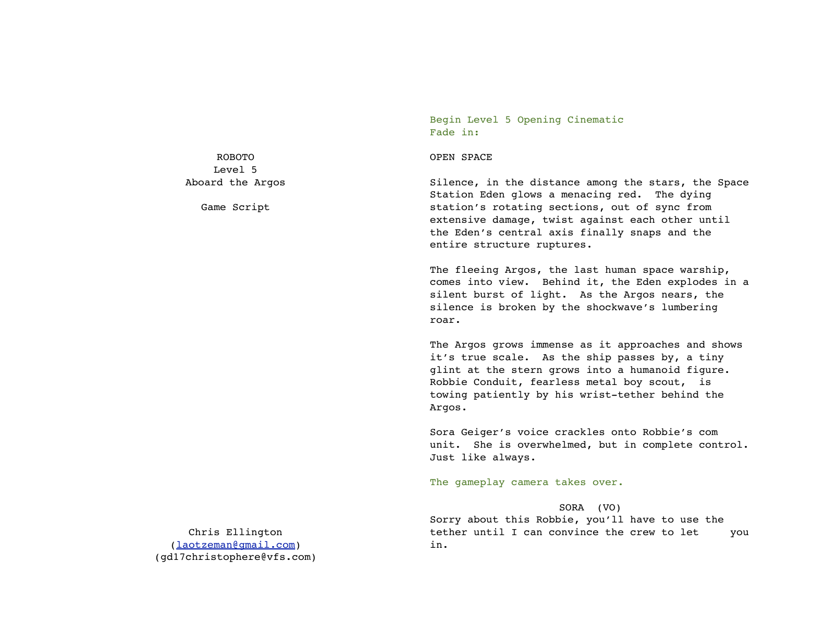Begin Level 5 Opening Cinematic Fade in:

# OPEN SPACE

Silence, in the distance among the stars, the Space Station Eden glows a menacing red. The dying station's rotating sections, out of sync from extensive damage, twist against each other until the Eden's central axis finally snaps and the entire structure ruptures.

The fleeing Argos, the last human space warship, comes into view. Behind it, the Eden explodes in a silent burst of light. As the Argos nears, the silence is broken by the shockwave's lumbering roar.

The Argos grows immense as it approaches and shows it's true scale. As the ship passes by, a tiny glint at the stern grows into a humanoid figure. Robbie Conduit, fearless metal boy scout, is towing patiently by his wrist-tether behind the Argos.

Sora Geiger's voice crackles onto Robbie's com unit. She is overwhelmed, but in complete control. Just like always.

The gameplay camera takes over.

# SORA (VO)

Sorry about this Robbie, you'll have to use the tether until I can convince the crew to let you in.

Chris Ellington ([laotzeman@gmail.com\)](mailto:laotzeman@gmail.com) (gd17christophere@vfs.com)

ROBOTO Level 5 Aboard the Argos

Game Script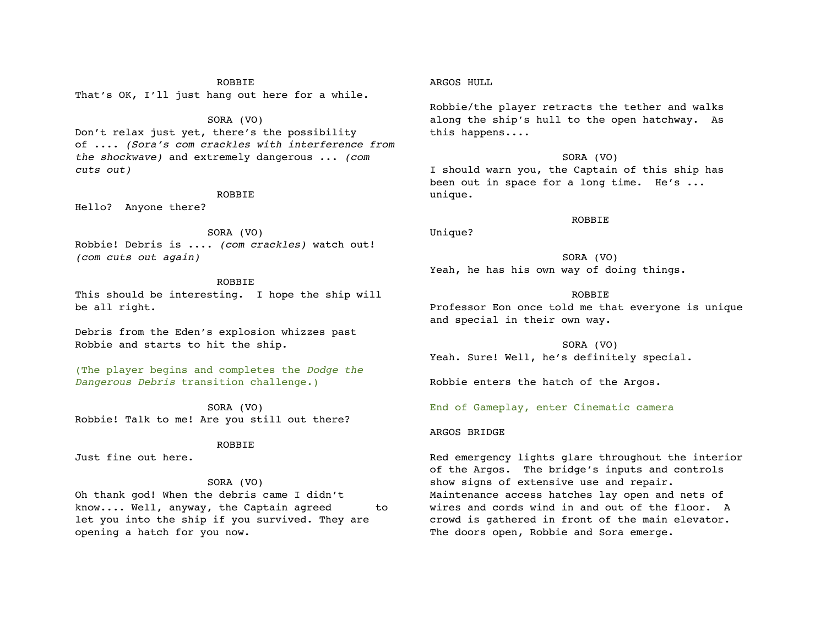# ROBBIE That's OK, I'll just hang out here for a while.

# SORA (VO)

Don't relax just yet, there's the possibility of .... *(Sora's com crackles with interference from the shockwave)* and extremely dangerous ... *(com cuts out)*

# ROBBIE

Hello? Anyone there?

SORA (VO) Robbie! Debris is .... *(com crackles)* watch out! *(com cuts out again)*

# ROBBIE

This should be interesting. I hope the ship will be all right.

Debris from the Eden's explosion whizzes past Robbie and starts to hit the ship.

(The player begins and completes the *Dodge the Dangerous Debris* transition challenge.)

SORA (VO) Robbie! Talk to me! Are you still out there?

# ROBBIE

Just fine out here.

# SORA (VO)

Oh thank god! When the debris came I didn't know.... Well, anyway, the Captain agreed to let you into the ship if you survived. They are opening a hatch for you now.

# ARGOS HULL

Unique?

Robbie/the player retracts the tether and walks along the ship's hull to the open hatchway. As this happens....

SORA (VO) I should warn you, the Captain of this ship has been out in space for a long time. He's ... unique.

#### ROBBIE

SORA (VO) Yeah, he has his own way of doing things.

**ROBBIE** Professor Eon once told me that everyone is unique and special in their own way.

SORA (VO) Yeah. Sure! Well, he's definitely special.

Robbie enters the hatch of the Argos.

End of Gameplay, enter Cinematic camera

#### ARGOS BRIDGE

Red emergency lights glare throughout the interior of the Argos. The bridge's inputs and controls show signs of extensive use and repair. Maintenance access hatches lay open and nets of wires and cords wind in and out of the floor. A crowd is gathered in front of the main elevator. The doors open, Robbie and Sora emerge.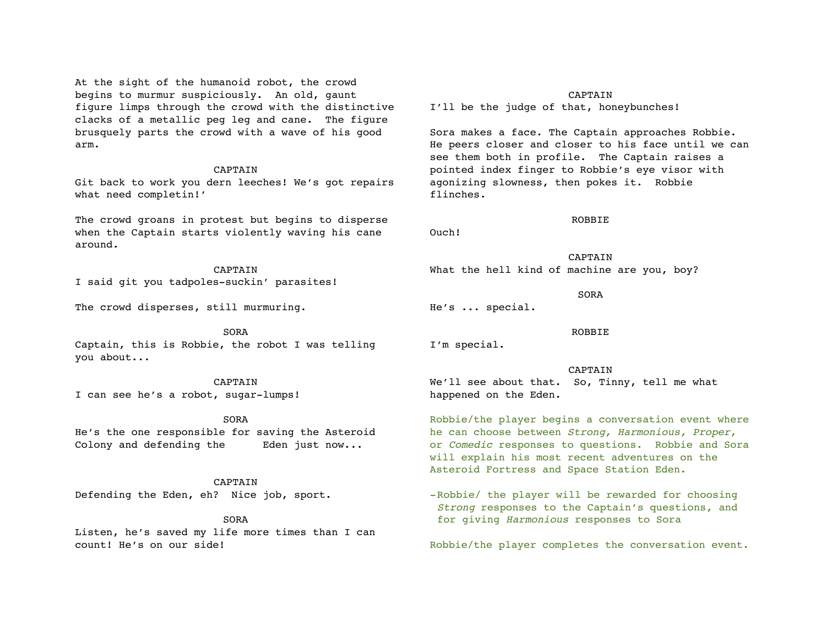At the sight of the humanoid robot, the crowd begins to murmur suspiciously. An old, gaunt figure limps through the crowd with the distinctive clacks of a metallic peg leg and cane. The figure brusquely parts the crowd with a wave of his good arm.

#### CAPTAIN

Git back to work you dern leeches! We's got repairs what need completin!'

The crowd groans in protest but begins to disperse when the Captain starts violently waving his cane around.

**CAPTAIN** I said git you tadpoles-suckin' parasites!

The crowd disperses, still murmuring.

SORA Captain, this is Robbie, the robot I was telling you about...

**CAPTAIN** I can see he's a robot, sugar-lumps!

SORA He's the one responsible for saving the Asteroid Colony and defending the Eden just now...

CAPTAIN Defending the Eden, eh? Nice job, sport.

SORA Listen, he's saved my life more times than I can count! He's on our side!

#### CAPTAIN

I'll be the judge of that, honeybunches!

Sora makes a face. The Captain approaches Robbie. He peers closer and closer to his face until we can see them both in profile. The Captain raises a pointed index finger to Robbie's eye visor with agonizing slowness, then pokes it. Robbie flinches.

### ROBBIE

Ouch!

CAPTAIN What the hell kind of machine are you, boy?

SORA

He's ... special.

#### **ROBBIE**

I'm special.

# CAPTAIN

We'll see about that. So, Tinny, tell me what happened on the Eden.

Robbie/the player begins a conversation event where he can choose between *Strong, Harmonious, Proper,*  or *Comedic* responses to questions. Robbie and Sora will explain his most recent adventures on the Asteroid Fortress and Space Station Eden.

-Robbie/ the player will be rewarded for choosing *Strong* responses to the Captain's questions, and for giving *Harmonious* responses to Sora

Robbie/the player completes the conversation event.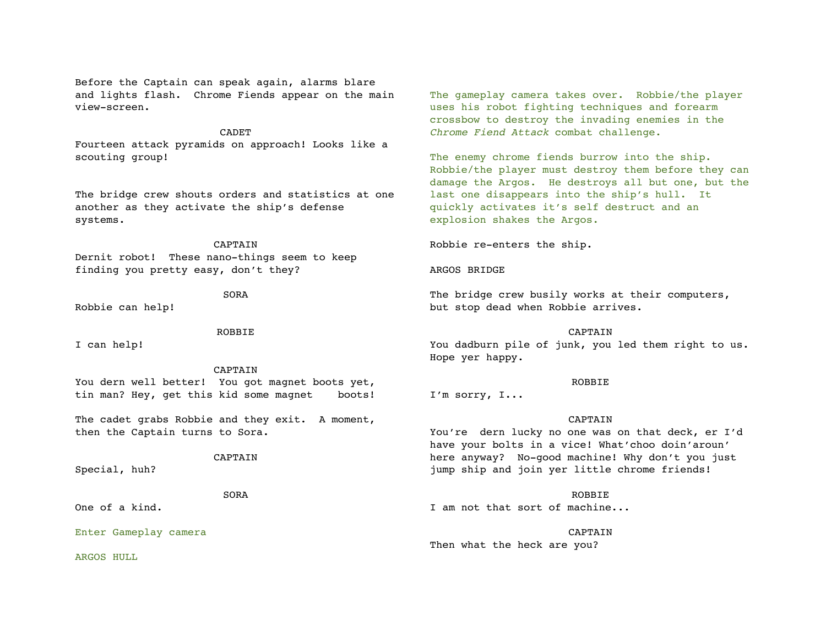Before the Captain can speak again, alarms blare and lights flash. Chrome Fiends appear on the main view-screen.

# **CADET**

Fourteen attack pyramids on approach! Looks like a scouting group!

The bridge crew shouts orders and statistics at one another as they activate the ship's defense systems.

### **CAPTAIN**

Dernit robot! These nano-things seem to keep finding you pretty easy, don't they?

Robbie can help!

### ROBBIE

SORA

I can help!

# CAPTAIN

You dern well better! You got magnet boots yet, tin man? Hey, get this kid some magnet boots!

The cadet grabs Robbie and they exit. A moment, then the Captain turns to Sora.

# CAPTAIN

Special, huh?

# SORA

One of a kind.

Enter Gameplay camera

ARGOS HULL

The gameplay camera takes over. Robbie/the player uses his robot fighting techniques and forearm crossbow to destroy the invading enemies in the *Chrome Fiend Attack* combat challenge.

The enemy chrome fiends burrow into the ship. Robbie/the player must destroy them before they can damage the Argos. He destroys all but one, but the last one disappears into the ship's hull. It quickly activates it's self destruct and an explosion shakes the Argos.

Robbie re-enters the ship.

### ARGOS BRIDGE

The bridge crew busily works at their computers, but stop dead when Robbie arrives.

#### CAPTAIN

You dadburn pile of junk, you led them right to us. Hope yer happy.

#### ROBBIE

I'm sorry, I...

#### CAPTAIN

You're dern lucky no one was on that deck, er I'd have your bolts in a vice! What'choo doin'aroun' here anyway? No-good machine! Why don't you just jump ship and join yer little chrome friends!

ROBBIE I am not that sort of machine...

CAPTAIN Then what the heck are you?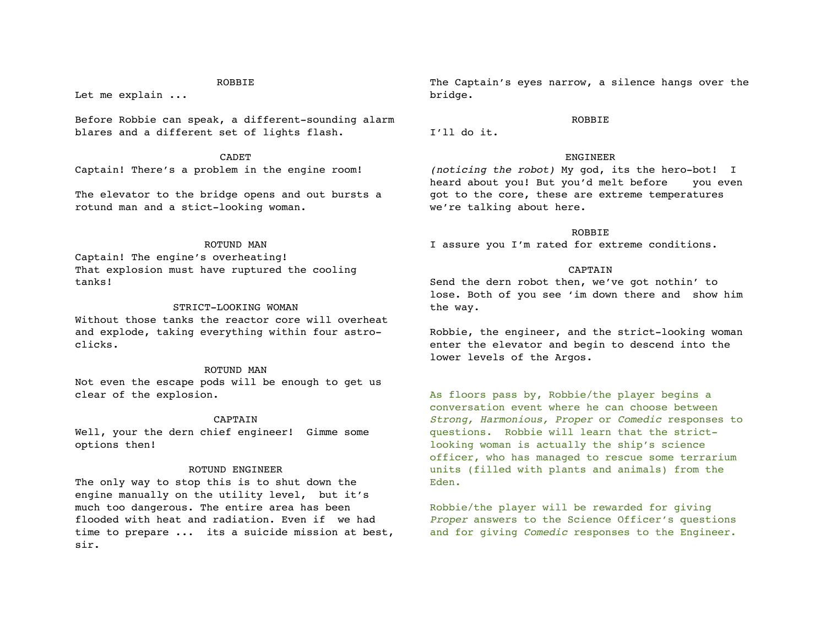# ROBBIE

Let me explain ...

Before Robbie can speak, a different-sounding alarm blares and a different set of lights flash.

**CADET** 

Captain! There's a problem in the engine room!

The elevator to the bridge opens and out bursts a rotund man and a stict-looking woman.

#### ROTUND MAN

Captain! The engine's overheating! That explosion must have ruptured the cooling tanks!

# STRICT-LOOKING WOMAN

Without those tanks the reactor core will overheat and explode, taking everything within four astroclicks.

#### ROTUND MAN

Not even the escape pods will be enough to get us clear of the explosion.

### **CAPTAIN**

Well, your the dern chief engineer! Gimme some options then!

#### ROTUND ENGINEER

The only way to stop this is to shut down the engine manually on the utility level, but it's much too dangerous. The entire area has been flooded with heat and radiation. Even if we had time to prepare ... its a suicide mission at best, sir.

The Captain's eyes narrow, a silence hangs over the bridge.

#### ROBBIE

 $I'$ ll do it.

# ENGINEER

*(noticing the robot)* My god, its the hero-bot! I heard about you! But you'd melt before you even got to the core, these are extreme temperatures we're talking about here.

#### ROBBIE

I assure you I'm rated for extreme conditions.

### CAPTAIN

Send the dern robot then, we've got nothin' to lose. Both of you see 'im down there and show him the way.

Robbie, the engineer, and the strict-looking woman enter the elevator and begin to descend into the lower levels of the Argos.

As floors pass by, Robbie/the player begins a conversation event where he can choose between *Strong, Harmonious, Proper* or *Comedic* responses to questions. Robbie will learn that the strictlooking woman is actually the ship's science officer, who has managed to rescue some terrarium units (filled with plants and animals) from the Eden.

Robbie/the player will be rewarded for giving *Proper* answers to the Science Officer's questions and for giving *Comedic* responses to the Engineer.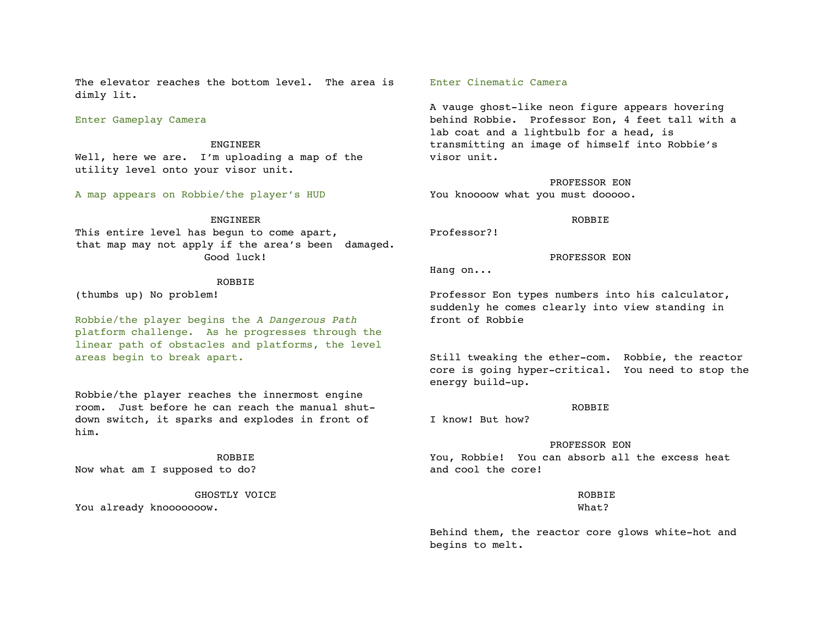The elevator reaches the bottom level. The area is dimly lit.

Enter Gameplay Camera

# ENGINEER

Well, here we are. I'm uploading a map of the utility level onto your visor unit.

A map appears on Robbie/the player's HUD

#### **ENGINEER**

This entire level has begun to come apart, that map may not apply if the area's been damaged. Good luck!

# ROBBIE

(thumbs up) No problem!

Robbie/the player begins the *A Dangerous Path* platform challenge. As he progresses through the linear path of obstacles and platforms, the level areas begin to break apart.

Robbie/the player reaches the innermost engine room. Just before he can reach the manual shutdown switch, it sparks and explodes in front of him.

ROBBIE Now what am I supposed to do?

GHOSTLY VOICE You already knooooooow.

# Enter Cinematic Camera

A vauge ghost-like neon figure appears hovering behind Robbie. Professor Eon, 4 feet tall with a lab coat and a lightbulb for a head, is transmitting an image of himself into Robbie's visor unit.

PROFESSOR EON You knoooow what you must dooooo.

#### ROBBIE

#### PROFESSOR EON

Hang on...

Professor?!

Professor Eon types numbers into his calculator, suddenly he comes clearly into view standing in front of Robbie

Still tweaking the ether-com. Robbie, the reactor core is going hyper-critical. You need to stop the energy build-up.

#### ROBBIE

I know! But how?

#### PROFESSOR EON

You, Robbie! You can absorb all the excess heat and cool the core!

### ROBBIE What?

Behind them, the reactor core glows white-hot and begins to melt.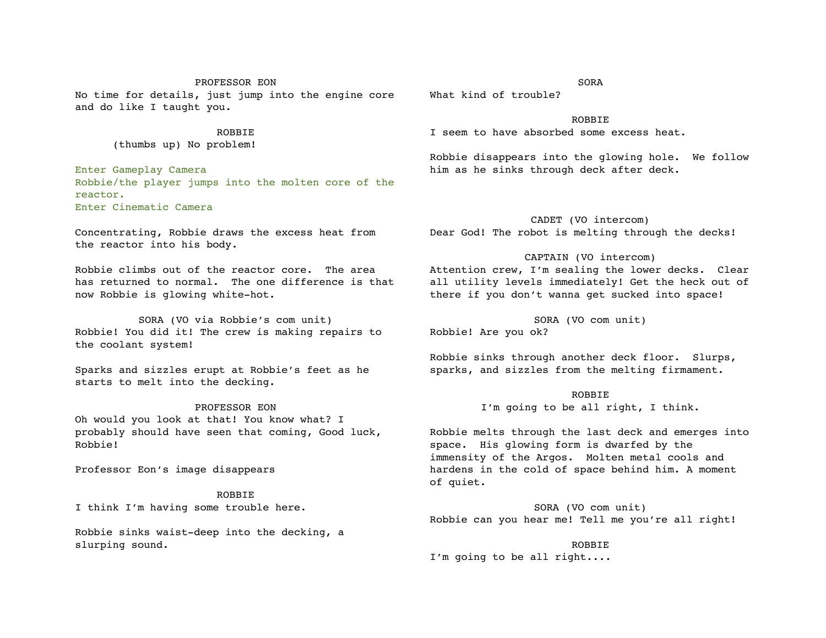# PROFESSOR EON

No time for details, just jump into the engine core and do like I taught you.

> **ROBBIE** (thumbs up) No problem!

Enter Gameplay Camera Robbie/the player jumps into the molten core of the reactor. Enter Cinematic Camera

Concentrating, Robbie draws the excess heat from the reactor into his body.

Robbie climbs out of the reactor core. The area has returned to normal. The one difference is that now Robbie is glowing white-hot.

SORA (VO via Robbie's com unit) Robbie! You did it! The crew is making repairs to the coolant system!

Sparks and sizzles erupt at Robbie's feet as he starts to melt into the decking.

#### PROFESSOR EON

Oh would you look at that! You know what? I probably should have seen that coming, Good luck, Robbie!

Professor Eon's image disappears

ROBBIE I think I'm having some trouble here.

Robbie sinks waist-deep into the decking, a slurping sound.

What kind of trouble?

ROBBIE I seem to have absorbed some excess heat.

Robbie disappears into the glowing hole. We follow him as he sinks through deck after deck.

# CADET (VO intercom)

Dear God! The robot is melting through the decks!

# CAPTAIN (VO intercom)

Attention crew, I'm sealing the lower decks. Clear all utility levels immediately! Get the heck out of there if you don't wanna get sucked into space!

SORA (VO com unit) Robbie! Are you ok?

Robbie sinks through another deck floor. Slurps, sparks, and sizzles from the melting firmament.

> ROBBIE I'm going to be all right, I think.

Robbie melts through the last deck and emerges into space. His glowing form is dwarfed by the immensity of the Argos. Molten metal cools and hardens in the cold of space behind him. A moment of quiet.

SORA (VO com unit) Robbie can you hear me! Tell me you're all right!

ROBBIE I'm going to be all right....

#### SORA